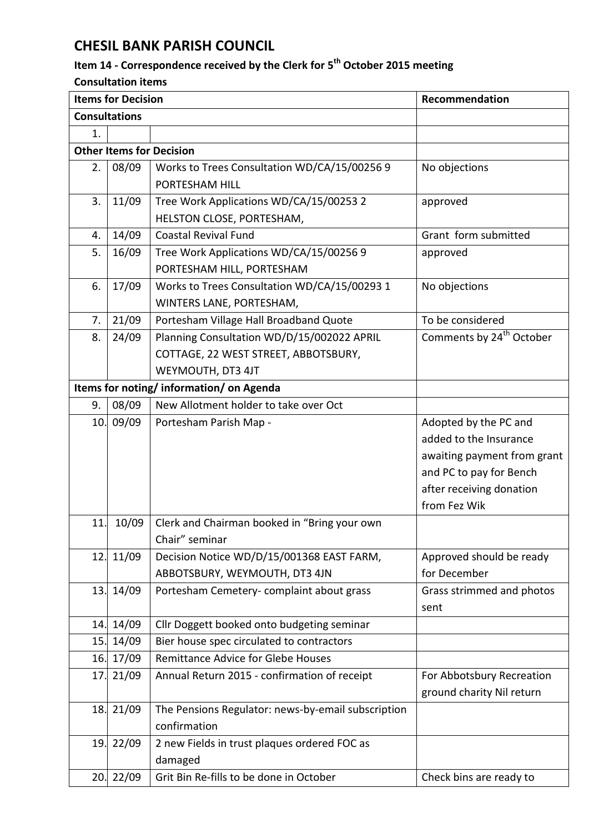## **CHESIL BANK PARISH COUNCIL**

## **Item 14 - Correspondence received by the Clerk for 5 th October 2015 meeting**

## **Consultation items**

| <b>Items for Decision</b>              |                      |                                                    | Recommendation                       |  |  |  |
|----------------------------------------|----------------------|----------------------------------------------------|--------------------------------------|--|--|--|
|                                        | <b>Consultations</b> |                                                    |                                      |  |  |  |
| 1.                                     |                      |                                                    |                                      |  |  |  |
| <b>Other Items for Decision</b>        |                      |                                                    |                                      |  |  |  |
| 2.                                     | 08/09                | Works to Trees Consultation WD/CA/15/00256 9       | No objections                        |  |  |  |
|                                        |                      | PORTESHAM HILL                                     |                                      |  |  |  |
| 3.                                     | 11/09                | Tree Work Applications WD/CA/15/00253 2            | approved                             |  |  |  |
|                                        |                      | HELSTON CLOSE, PORTESHAM,                          |                                      |  |  |  |
| 4.                                     | 14/09                | <b>Coastal Revival Fund</b>                        | Grant form submitted                 |  |  |  |
| 5.                                     | 16/09                | Tree Work Applications WD/CA/15/00256 9            | approved                             |  |  |  |
|                                        |                      | PORTESHAM HILL, PORTESHAM                          |                                      |  |  |  |
| 6.                                     | 17/09                | Works to Trees Consultation WD/CA/15/00293 1       | No objections                        |  |  |  |
|                                        |                      | WINTERS LANE, PORTESHAM,                           |                                      |  |  |  |
| 7.                                     | 21/09                | Portesham Village Hall Broadband Quote             | To be considered                     |  |  |  |
| 8.                                     | 24/09                | Planning Consultation WD/D/15/002022 APRIL         | Comments by 24 <sup>th</sup> October |  |  |  |
|                                        |                      | COTTAGE, 22 WEST STREET, ABBOTSBURY,               |                                      |  |  |  |
|                                        |                      | WEYMOUTH, DT3 4JT                                  |                                      |  |  |  |
| Items for noting/information/on Agenda |                      |                                                    |                                      |  |  |  |
| 9.                                     | 08/09                | New Allotment holder to take over Oct              |                                      |  |  |  |
| 10.                                    | 09/09                | Portesham Parish Map -                             | Adopted by the PC and                |  |  |  |
|                                        |                      |                                                    | added to the Insurance               |  |  |  |
|                                        |                      |                                                    | awaiting payment from grant          |  |  |  |
|                                        |                      |                                                    | and PC to pay for Bench              |  |  |  |
|                                        |                      |                                                    | after receiving donation             |  |  |  |
|                                        |                      |                                                    | from Fez Wik                         |  |  |  |
| 11.                                    | 10/09                | Clerk and Chairman booked in "Bring your own       |                                      |  |  |  |
|                                        |                      | Chair" seminar                                     |                                      |  |  |  |
| 12.                                    | 11/09                | Decision Notice WD/D/15/001368 EAST FARM,          | Approved should be ready             |  |  |  |
|                                        |                      | ABBOTSBURY, WEYMOUTH, DT3 4JN                      | for December                         |  |  |  |
| 13.                                    | 14/09                | Portesham Cemetery-complaint about grass           | Grass strimmed and photos            |  |  |  |
|                                        |                      |                                                    | sent                                 |  |  |  |
| 14.                                    | 14/09                | Cllr Doggett booked onto budgeting seminar         |                                      |  |  |  |
| 15.                                    | 14/09                | Bier house spec circulated to contractors          |                                      |  |  |  |
| 16.                                    | 17/09                | <b>Remittance Advice for Glebe Houses</b>          |                                      |  |  |  |
| 17.                                    | 21/09                | Annual Return 2015 - confirmation of receipt       | For Abbotsbury Recreation            |  |  |  |
|                                        |                      |                                                    | ground charity Nil return            |  |  |  |
| 18.                                    | 21/09                | The Pensions Regulator: news-by-email subscription |                                      |  |  |  |
|                                        |                      | confirmation                                       |                                      |  |  |  |
|                                        | 19. 22/09            | 2 new Fields in trust plaques ordered FOC as       |                                      |  |  |  |
|                                        |                      | damaged                                            |                                      |  |  |  |
|                                        | 20. 22/09            | Grit Bin Re-fills to be done in October            | Check bins are ready to              |  |  |  |